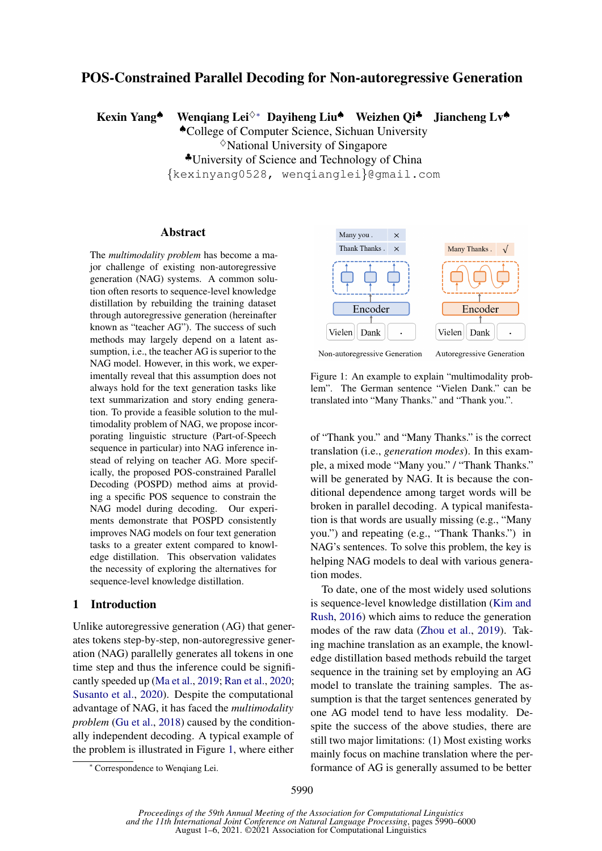# POS-Constrained Parallel Decoding for Non-autoregressive Generation

Kexin Yang<sup>▲</sup> Wenqiang Lei<sup>◇∗</sup> Dayiheng Liu<sup>▲</sup> Weizhen Qi<sup>4</sup> Jiancheng Lv<sup>▲</sup>

♠College of Computer Science, Sichuan University  $\Diamond$ National University of Singapore ♣University of Science and Technology of China {kexinyang0528, wenqianglei}@gmail.com

### Abstract

The *multimodality problem* has become a major challenge of existing non-autoregressive generation (NAG) systems. A common solution often resorts to sequence-level knowledge distillation by rebuilding the training dataset through autoregressive generation (hereinafter known as "teacher AG"). The success of such methods may largely depend on a latent assumption, i.e., the teacher AG is superior to the NAG model. However, in this work, we experimentally reveal that this assumption does not always hold for the text generation tasks like text summarization and story ending generation. To provide a feasible solution to the multimodality problem of NAG, we propose incorporating linguistic structure (Part-of-Speech sequence in particular) into NAG inference instead of relying on teacher AG. More specifically, the proposed POS-constrained Parallel Decoding (POSPD) method aims at providing a specific POS sequence to constrain the NAG model during decoding. Our experiments demonstrate that POSPD consistently improves NAG models on four text generation tasks to a greater extent compared to knowledge distillation. This observation validates the necessity of exploring the alternatives for sequence-level knowledge distillation.

# 1 Introduction

Unlike autoregressive generation (AG) that generates tokens step-by-step, non-autoregressive generation (NAG) parallelly generates all tokens in one time step and thus the inference could be significantly speeded up [\(Ma et al.,](#page-9-0) [2019;](#page-9-0) [Ran et al.,](#page-9-1) [2020;](#page-9-1) [Susanto et al.,](#page-10-0) [2020\)](#page-10-0). Despite the computational advantage of NAG, it has faced the *multimodality problem* [\(Gu et al.,](#page-8-0) [2018\)](#page-8-0) caused by the conditionally independent decoding. A typical example of the problem is illustrated in Figure [1,](#page-0-0) where either

<span id="page-0-0"></span>

Figure 1: An example to explain "multimodality problem". The German sentence "Vielen Dank." can be translated into "Many Thanks." and "Thank you.".

of "Thank you." and "Many Thanks." is the correct translation (i.e., *generation modes*). In this example, a mixed mode "Many you." / "Thank Thanks." will be generated by NAG. It is because the conditional dependence among target words will be broken in parallel decoding. A typical manifestation is that words are usually missing (e.g., "Many you.") and repeating (e.g., "Thank Thanks.") in NAG's sentences. To solve this problem, the key is helping NAG models to deal with various generation modes.

To date, one of the most widely used solutions is sequence-level knowledge distillation [\(Kim and](#page-8-1) [Rush,](#page-8-1) [2016\)](#page-8-1) which aims to reduce the generation modes of the raw data [\(Zhou et al.,](#page-10-1) [2019\)](#page-10-1). Taking machine translation as an example, the knowledge distillation based methods rebuild the target sequence in the training set by employing an AG model to translate the training samples. The assumption is that the target sentences generated by one AG model tend to have less modality. Despite the success of the above studies, there are still two major limitations: (1) Most existing works mainly focus on machine translation where the performance of AG is generally assumed to be better

<sup>∗</sup> Correspondence to Wenqiang Lei.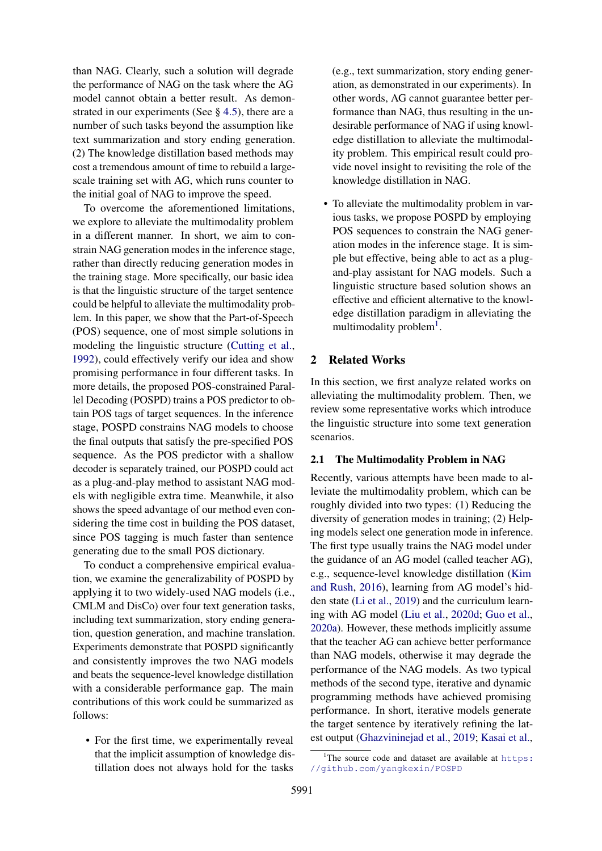than NAG. Clearly, such a solution will degrade the performance of NAG on the task where the AG model cannot obtain a better result. As demonstrated in our experiments (See  $\S$  [4.5\)](#page-5-0), there are a number of such tasks beyond the assumption like text summarization and story ending generation. (2) The knowledge distillation based methods may cost a tremendous amount of time to rebuild a largescale training set with AG, which runs counter to the initial goal of NAG to improve the speed.

To overcome the aforementioned limitations, we explore to alleviate the multimodality problem in a different manner. In short, we aim to constrain NAG generation modes in the inference stage, rather than directly reducing generation modes in the training stage. More specifically, our basic idea is that the linguistic structure of the target sentence could be helpful to alleviate the multimodality problem. In this paper, we show that the Part-of-Speech (POS) sequence, one of most simple solutions in modeling the linguistic structure [\(Cutting et al.,](#page-8-2) [1992\)](#page-8-2), could effectively verify our idea and show promising performance in four different tasks. In more details, the proposed POS-constrained Parallel Decoding (POSPD) trains a POS predictor to obtain POS tags of target sequences. In the inference stage, POSPD constrains NAG models to choose the final outputs that satisfy the pre-specified POS sequence. As the POS predictor with a shallow decoder is separately trained, our POSPD could act as a plug-and-play method to assistant NAG models with negligible extra time. Meanwhile, it also shows the speed advantage of our method even considering the time cost in building the POS dataset, since POS tagging is much faster than sentence generating due to the small POS dictionary.

To conduct a comprehensive empirical evaluation, we examine the generalizability of POSPD by applying it to two widely-used NAG models (i.e., CMLM and DisCo) over four text generation tasks, including text summarization, story ending generation, question generation, and machine translation. Experiments demonstrate that POSPD significantly and consistently improves the two NAG models and beats the sequence-level knowledge distillation with a considerable performance gap. The main contributions of this work could be summarized as follows:

• For the first time, we experimentally reveal that the implicit assumption of knowledge distillation does not always hold for the tasks (e.g., text summarization, story ending generation, as demonstrated in our experiments). In other words, AG cannot guarantee better performance than NAG, thus resulting in the undesirable performance of NAG if using knowledge distillation to alleviate the multimodality problem. This empirical result could provide novel insight to revisiting the role of the knowledge distillation in NAG.

• To alleviate the multimodality problem in various tasks, we propose POSPD by employing POS sequences to constrain the NAG generation modes in the inference stage. It is simple but effective, being able to act as a plugand-play assistant for NAG models. Such a linguistic structure based solution shows an effective and efficient alternative to the knowledge distillation paradigm in alleviating the multimodality problem<sup>[1](#page-1-0)</sup>.

# 2 Related Works

In this section, we first analyze related works on alleviating the multimodality problem. Then, we review some representative works which introduce the linguistic structure into some text generation scenarios.

# 2.1 The Multimodality Problem in NAG

Recently, various attempts have been made to alleviate the multimodality problem, which can be roughly divided into two types: (1) Reducing the diversity of generation modes in training; (2) Helping models select one generation mode in inference. The first type usually trains the NAG model under the guidance of an AG model (called teacher AG), e.g., sequence-level knowledge distillation [\(Kim](#page-8-1) [and Rush,](#page-8-1) [2016\)](#page-8-1), learning from AG model's hidden state [\(Li et al.,](#page-8-3) [2019\)](#page-8-3) and the curriculum learning with AG model [\(Liu et al.,](#page-9-2) [2020d;](#page-9-2) [Guo et al.,](#page-8-4) [2020a\)](#page-8-4). However, these methods implicitly assume that the teacher AG can achieve better performance than NAG models, otherwise it may degrade the performance of the NAG models. As two typical methods of the second type, iterative and dynamic programming methods have achieved promising performance. In short, iterative models generate the target sentence by iteratively refining the latest output [\(Ghazvininejad et al.,](#page-8-5) [2019;](#page-8-5) [Kasai et al.,](#page-8-6)

<span id="page-1-0"></span><sup>&</sup>lt;sup>1</sup>The source code and dataset are available at  $https:$ [//github.com/yangkexin/POSPD](https://github.com/yangkexin/POSPD)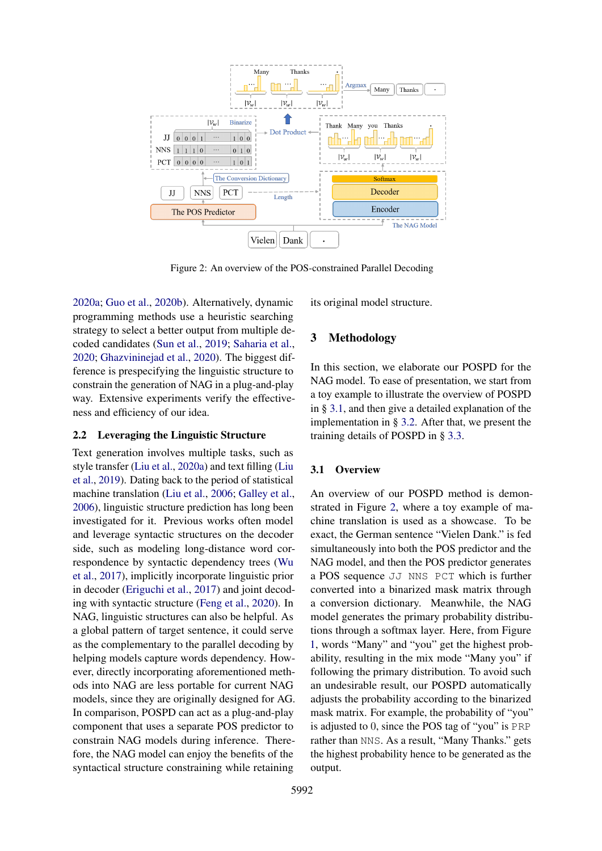<span id="page-2-1"></span>

Figure 2: An overview of the POS-constrained Parallel Decoding

[2020a;](#page-8-6) [Guo et al.,](#page-8-7) [2020b\)](#page-8-7). Alternatively, dynamic programming methods use a heuristic searching strategy to select a better output from multiple decoded candidates [\(Sun et al.,](#page-9-3) [2019;](#page-9-3) [Saharia et al.,](#page-9-4) [2020;](#page-9-4) [Ghazvininejad et al.,](#page-8-8) [2020\)](#page-8-8). The biggest difference is prespecifying the linguistic structure to constrain the generation of NAG in a plug-and-play way. Extensive experiments verify the effectiveness and efficiency of our idea.

# 2.2 Leveraging the Linguistic Structure

Text generation involves multiple tasks, such as style transfer [\(Liu et al.,](#page-9-5) [2020a\)](#page-9-5) and text filling [\(Liu](#page-9-6) [et al.,](#page-9-6) [2019\)](#page-9-6). Dating back to the period of statistical machine translation [\(Liu et al.,](#page-9-7) [2006;](#page-9-7) [Galley et al.,](#page-8-9) [2006\)](#page-8-9), linguistic structure prediction has long been investigated for it. Previous works often model and leverage syntactic structures on the decoder side, such as modeling long-distance word correspondence by syntactic dependency trees [\(Wu](#page-10-2) [et al.,](#page-10-2) [2017\)](#page-10-2), implicitly incorporate linguistic prior in decoder [\(Eriguchi et al.,](#page-8-10) [2017\)](#page-8-10) and joint decoding with syntactic structure [\(Feng et al.,](#page-8-11) [2020\)](#page-8-11). In NAG, linguistic structures can also be helpful. As a global pattern of target sentence, it could serve as the complementary to the parallel decoding by helping models capture words dependency. However, directly incorporating aforementioned methods into NAG are less portable for current NAG models, since they are originally designed for AG. In comparison, POSPD can act as a plug-and-play component that uses a separate POS predictor to constrain NAG models during inference. Therefore, the NAG model can enjoy the benefits of the syntactical structure constraining while retaining

its original model structure.

# 3 Methodology

In this section, we elaborate our POSPD for the NAG model. To ease of presentation, we start from a toy example to illustrate the overview of POSPD in § [3.1,](#page-2-0) and then give a detailed explanation of the implementation in § [3.2.](#page-3-0) After that, we present the training details of POSPD in § [3.3.](#page-4-0)

# <span id="page-2-0"></span>3.1 Overview

An overview of our POSPD method is demonstrated in Figure [2,](#page-2-1) where a toy example of machine translation is used as a showcase. To be exact, the German sentence "Vielen Dank." is fed simultaneously into both the POS predictor and the NAG model, and then the POS predictor generates a POS sequence JJ NNS PCT which is further converted into a binarized mask matrix through a conversion dictionary. Meanwhile, the NAG model generates the primary probability distributions through a softmax layer. Here, from Figure [1,](#page-0-0) words "Many" and "you" get the highest probability, resulting in the mix mode "Many you" if following the primary distribution. To avoid such an undesirable result, our POSPD automatically adjusts the probability according to the binarized mask matrix. For example, the probability of "you" is adjusted to 0, since the POS tag of "you" is PRP rather than NNS. As a result, "Many Thanks." gets the highest probability hence to be generated as the output.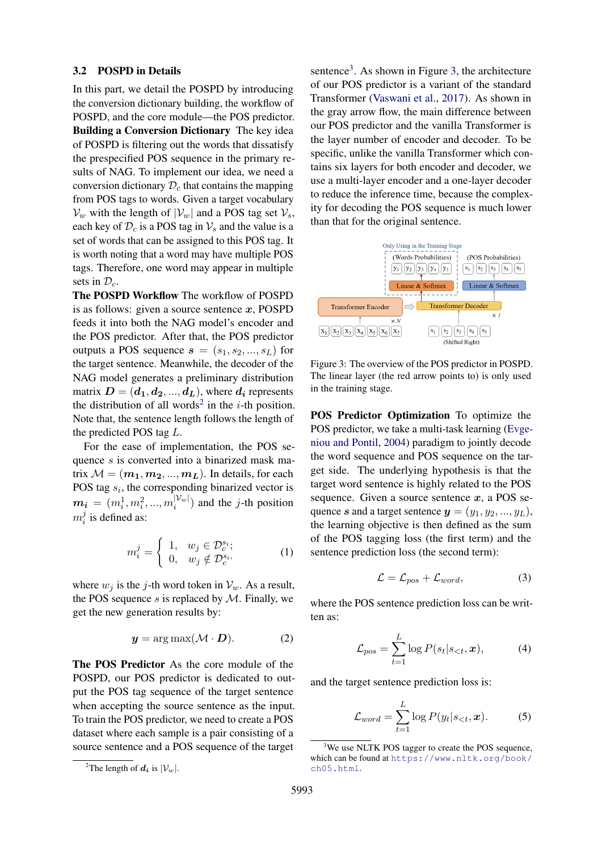### <span id="page-3-0"></span>3.2 POSPD in Details

In this part, we detail the POSPD by introducing the conversion dictionary building, the workflow of POSPD, and the core module—the POS predictor. Building a Conversion Dictionary The key idea of POSPD is filtering out the words that dissatisfy the prespecified POS sequence in the primary results of NAG. To implement our idea, we need a conversion dictionary  $\mathcal{D}_c$  that contains the mapping from POS tags to words. Given a target vocabulary  $V_w$  with the length of  $|V_w|$  and a POS tag set  $V_s$ , each key of  $\mathcal{D}_c$  is a POS tag in  $\mathcal{V}_s$  and the value is a set of words that can be assigned to this POS tag. It is worth noting that a word may have multiple POS tags. Therefore, one word may appear in multiple sets in  $\mathcal{D}_c$ .

The POSPD Workflow The workflow of POSPD is as follows: given a source sentence  $x$ , POSPD feeds it into both the NAG model's encoder and the POS predictor. After that, the POS predictor outputs a POS sequence  $s = (s_1, s_2, ..., s_L)$  for the target sentence. Meanwhile, the decoder of the NAG model generates a preliminary distribution matrix  $D = (d_1, d_2, ..., d_L)$ , where  $d_i$  represents the distribution of all words<sup>[2](#page-3-1)</sup> in the *i*-th position. Note that, the sentence length follows the length of the predicted POS tag L.

For the ease of implementation, the POS sequence s is converted into a binarized mask matrix  $M = (m_1, m_2, ..., m_L)$ . In details, for each POS tag  $s_i$ , the corresponding binarized vector is  $\boldsymbol{m_{i}}~=~(m_{i}^{1},m_{i}^{2},...,m_{i}^{|\mathcal{V}_{w}|}$  $\binom{|\mathcal{V}_w|}{i}$  and the *j*-th position  $m_i^j$  $i$  is defined as:

$$
m_i^j = \begin{cases} 1, & w_j \in \mathcal{D}_c^{s_i}; \\ 0, & w_j \notin \mathcal{D}_c^{s_i}, \end{cases}
$$
 (1)

where  $w_j$  is the j-th word token in  $\mathcal{V}_w$ . As a result, the POS sequence  $s$  is replaced by  $M$ . Finally, we get the new generation results by:

$$
y = \arg \max(\mathcal{M} \cdot \mathbf{D}). \tag{2}
$$

The POS Predictor As the core module of the POSPD, our POS predictor is dedicated to output the POS tag sequence of the target sentence when accepting the source sentence as the input. To train the POS predictor, we need to create a POS dataset where each sample is a pair consisting of a source sentence and a POS sequence of the target

sentence<sup>[3](#page-3-2)</sup>. As shown in Figure [3,](#page-3-3) the architecture of our POS predictor is a variant of the standard Transformer [\(Vaswani et al.,](#page-10-3) [2017\)](#page-10-3). As shown in the gray arrow flow, the main difference between our POS predictor and the vanilla Transformer is the layer number of encoder and decoder. To be specific, unlike the vanilla Transformer which contains six layers for both encoder and decoder, we use a multi-layer encoder and a one-layer decoder to reduce the inference time, because the complexity for decoding the POS sequence is much lower than that for the original sentence.

<span id="page-3-3"></span>

Figure 3: The overview of the POS predictor in POSPD. The linear layer (the red arrow points to) is only used in the training stage.

POS Predictor Optimization To optimize the POS predictor, we take a multi-task learning [\(Evge](#page-8-12)[niou and Pontil,](#page-8-12) [2004\)](#page-8-12) paradigm to jointly decode the word sequence and POS sequence on the target side. The underlying hypothesis is that the target word sentence is highly related to the POS sequence. Given a source sentence  $x$ , a POS sequence s and a target sentence  $y = (y_1, y_2, ..., y_L)$ , the learning objective is then defined as the sum of the POS tagging loss (the first term) and the sentence prediction loss (the second term):

$$
\mathcal{L} = \mathcal{L}_{pos} + \mathcal{L}_{word},\tag{3}
$$

where the POS sentence prediction loss can be written as:

$$
\mathcal{L}_{pos} = \sum_{t=1}^{L} \log P(s_t | s_{< t}, \boldsymbol{x}), \tag{4}
$$

and the target sentence prediction loss is:

$$
\mathcal{L}_{word} = \sum_{t=1}^{L} \log P(y_t | s_{< t}, \boldsymbol{x}). \tag{5}
$$

<span id="page-3-1"></span><sup>&</sup>lt;sup>2</sup>The length of  $d_i$  is  $|\mathcal{V}_w|$ .

<span id="page-3-2"></span><sup>&</sup>lt;sup>3</sup>We use NLTK POS tagger to create the POS sequence, which can be found at [https://www.nltk.org/book/](https://www.nltk.org/book/ch05.html) [ch05.html](https://www.nltk.org/book/ch05.html).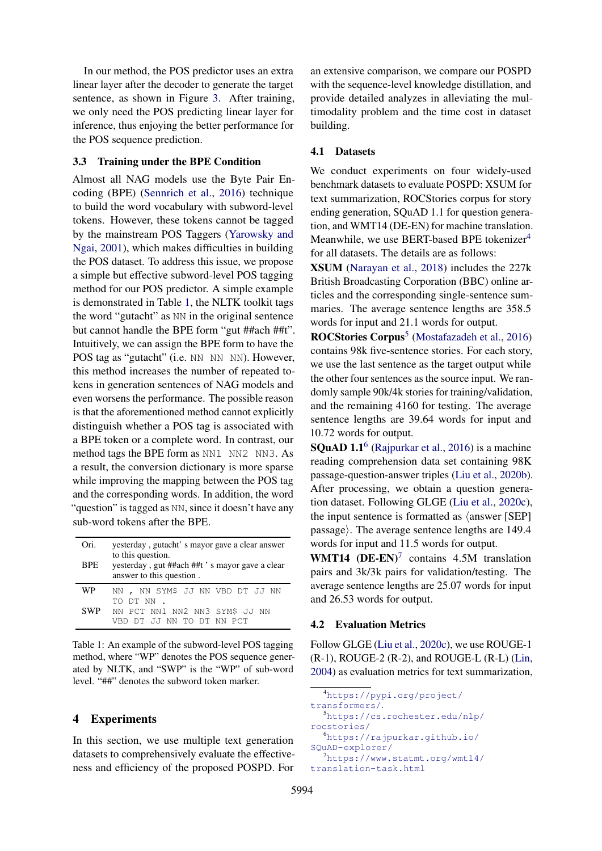In our method, the POS predictor uses an extra linear layer after the decoder to generate the target sentence, as shown in Figure [3.](#page-3-3) After training, we only need the POS predicting linear layer for inference, thus enjoying the better performance for the POS sequence prediction.

# <span id="page-4-0"></span>3.3 Training under the BPE Condition

Almost all NAG models use the Byte Pair Encoding (BPE) [\(Sennrich et al.,](#page-9-8) [2016\)](#page-9-8) technique to build the word vocabulary with subword-level tokens. However, these tokens cannot be tagged by the mainstream POS Taggers [\(Yarowsky and](#page-10-4) [Ngai,](#page-10-4) [2001\)](#page-10-4), which makes difficulties in building the POS dataset. To address this issue, we propose a simple but effective subword-level POS tagging method for our POS predictor. A simple example is demonstrated in Table [1,](#page-4-1) the NLTK toolkit tags the word "gutacht" as NN in the original sentence but cannot handle the BPE form "gut ##ach ##t". Intuitively, we can assign the BPE form to have the POS tag as "gutacht" (i.e. NN NN NN). However, this method increases the number of repeated tokens in generation sentences of NAG models and even worsens the performance. The possible reason is that the aforementioned method cannot explicitly distinguish whether a POS tag is associated with a BPE token or a complete word. In contrast, our method tags the BPE form as NN1 NN2 NN3. As a result, the conversion dictionary is more sparse while improving the mapping between the POS tag and the corresponding words. In addition, the word "question" is tagged as NN, since it doesn't have any sub-word tokens after the BPE.

<span id="page-4-1"></span>

| Ori.<br><b>BPE</b> | yesterday, gutacht's mayor gave a clear answer<br>to this question.<br>yesterday, gut ##ach ##t 's mayor gave a clear<br>answer to this question. |  |  |
|--------------------|---------------------------------------------------------------------------------------------------------------------------------------------------|--|--|
| <b>WP</b>          | NN, NN SYM\$ JJ NN VBD DT JJ NN<br>TO DT NN                                                                                                       |  |  |
| <b>SWP</b>         | NN PCT NN1 NN2 NN3 SYM\$ JJ NN<br>DT JJ NN TO DT NN PCT                                                                                           |  |  |

Table 1: An example of the subword-level POS tagging method, where "WP" denotes the POS sequence generated by NLTK, and "SWP" is the "WP" of sub-word level. "##" denotes the subword token marker.

# 4 Experiments

In this section, we use multiple text generation datasets to comprehensively evaluate the effectiveness and efficiency of the proposed POSPD. For

an extensive comparison, we compare our POSPD with the sequence-level knowledge distillation, and provide detailed analyzes in alleviating the multimodality problem and the time cost in dataset building.

# 4.1 Datasets

We conduct experiments on four widely-used benchmark datasets to evaluate POSPD: XSUM for text summarization, ROCStories corpus for story ending generation, SQuAD 1.1 for question generation, and WMT14 (DE-EN) for machine translation. Meanwhile, we use BERT-based BPE tokenizer<sup>[4](#page-4-2)</sup> for all datasets. The details are as follows:

XSUM [\(Narayan et al.,](#page-9-9) [2018\)](#page-9-9) includes the 227k British Broadcasting Corporation (BBC) online articles and the corresponding single-sentence summaries. The average sentence lengths are 358.5 words for input and 21.1 words for output.

ROCStories Corpus<sup>[5](#page-4-3)</sup> [\(Mostafazadeh et al.,](#page-9-10) [2016\)](#page-9-10) contains 98k five-sentence stories. For each story, we use the last sentence as the target output while the other four sentences as the source input. We randomly sample 90k/4k stories for training/validation, and the remaining 4160 for testing. The average sentence lengths are 39.64 words for input and 10.72 words for output.

**SQuAD 1.1**<sup>[6](#page-4-4)</sup> [\(Rajpurkar et al.,](#page-9-11) [2016\)](#page-9-11) is a machine reading comprehension data set containing 98K passage-question-answer triples [\(Liu et al.,](#page-9-12) [2020b\)](#page-9-12). After processing, we obtain a question generation dataset. Following GLGE [\(Liu et al.,](#page-9-13) [2020c\)](#page-9-13), the input sentence is formatted as  $\langle$  answer [SEP] passage). The average sentence lengths are  $149.4$ words for input and 11.5 words for output.

WMT14  $(DE-EN)^7$  $(DE-EN)^7$  contains 4.5M translation pairs and 3k/3k pairs for validation/testing. The average sentence lengths are 25.07 words for input and 26.53 words for output.

# 4.2 Evaluation Metrics

Follow GLGE [\(Liu et al.,](#page-9-13) [2020c\)](#page-9-13), we use ROUGE-1 (R-1), ROUGE-2 (R-2), and ROUGE-L (R-L) [\(Lin,](#page-9-14) [2004\)](#page-9-14) as evaluation metrics for text summarization,

```
4https://pypi.org/project/
```
<span id="page-4-3"></span>[transformers/](https://pypi.org/project/transformers/). <sup>5</sup>[https://cs.rochester.edu/nlp/](https://cs.rochester.edu/nlp/rocstories/) [rocstories/](https://cs.rochester.edu/nlp/rocstories/) <sup>6</sup>[https://rajpurkar.github.io/](https://rajpurkar.github.io/SQuAD-explorer/)

```
SQuAD-explorer/
```

```
7https://www.statmt.org/wmt14/
translation-task.html
```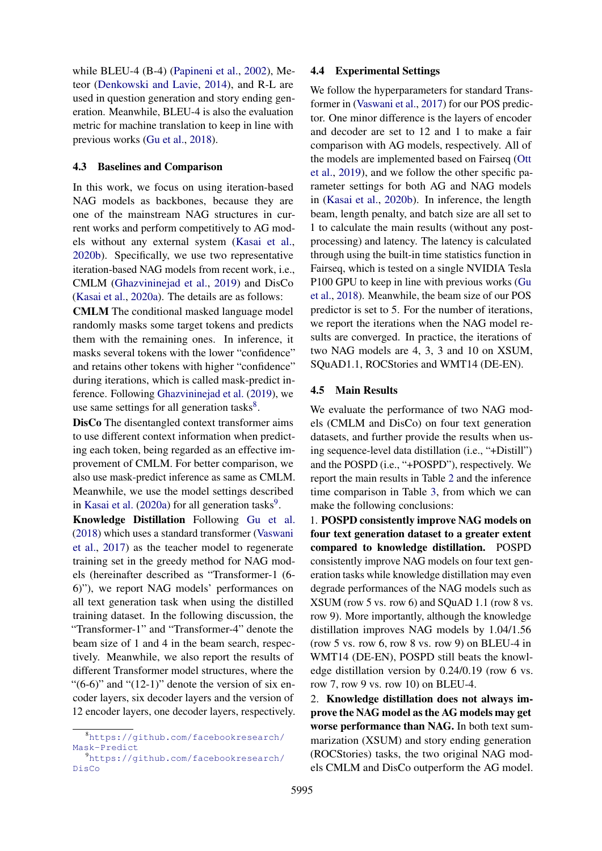while BLEU-4 (B-4) [\(Papineni et al.,](#page-9-15) [2002\)](#page-9-15), Meteor [\(Denkowski and Lavie,](#page-8-13) [2014\)](#page-8-13), and R-L are used in question generation and story ending generation. Meanwhile, BLEU-4 is also the evaluation metric for machine translation to keep in line with previous works [\(Gu et al.,](#page-8-0) [2018\)](#page-8-0).

### 4.3 Baselines and Comparison

In this work, we focus on using iteration-based NAG models as backbones, because they are one of the mainstream NAG structures in current works and perform competitively to AG models without any external system [\(Kasai et al.,](#page-8-14) [2020b\)](#page-8-14). Specifically, we use two representative iteration-based NAG models from recent work, i.e., CMLM [\(Ghazvininejad et al.,](#page-8-5) [2019\)](#page-8-5) and DisCo [\(Kasai et al.,](#page-8-6) [2020a\)](#page-8-6). The details are as follows:

CMLM The conditional masked language model randomly masks some target tokens and predicts them with the remaining ones. In inference, it masks several tokens with the lower "confidence" and retains other tokens with higher "confidence" during iterations, which is called mask-predict inference. Following [Ghazvininejad et al.](#page-8-5) [\(2019\)](#page-8-5), we use same settings for all generation tasks $8$ .

DisCo The disentangled context transformer aims to use different context information when predicting each token, being regarded as an effective improvement of CMLM. For better comparison, we also use mask-predict inference as same as CMLM. Meanwhile, we use the model settings described in [Kasai et al.](#page-8-6)  $(2020a)$  for all generation tasks<sup>[9](#page-5-2)</sup>.

Knowledge Distillation Following [Gu et al.](#page-8-0) [\(2018\)](#page-8-0) which uses a standard transformer [\(Vaswani](#page-10-3) [et al.,](#page-10-3) [2017\)](#page-10-3) as the teacher model to regenerate training set in the greedy method for NAG models (hereinafter described as "Transformer-1 (6- 6)"), we report NAG models' performances on all text generation task when using the distilled training dataset. In the following discussion, the "Transformer-1" and "Transformer-4" denote the beam size of 1 and 4 in the beam search, respectively. Meanwhile, we also report the results of different Transformer model structures, where the " $(6-6)$ " and " $(12-1)$ " denote the version of six encoder layers, six decoder layers and the version of 12 encoder layers, one decoder layers, respectively.

# 4.4 Experimental Settings

We follow the hyperparameters for standard Transformer in [\(Vaswani et al.,](#page-10-3) [2017\)](#page-10-3) for our POS predictor. One minor difference is the layers of encoder and decoder are set to 12 and 1 to make a fair comparison with AG models, respectively. All of the models are implemented based on Fairseq [\(Ott](#page-9-16) [et al.,](#page-9-16) [2019\)](#page-9-16), and we follow the other specific parameter settings for both AG and NAG models in [\(Kasai et al.,](#page-8-14) [2020b\)](#page-8-14). In inference, the length beam, length penalty, and batch size are all set to 1 to calculate the main results (without any postprocessing) and latency. The latency is calculated through using the built-in time statistics function in Fairseq, which is tested on a single NVIDIA Tesla P100 GPU to keep in line with previous works [\(Gu](#page-8-0) [et al.,](#page-8-0) [2018\)](#page-8-0). Meanwhile, the beam size of our POS predictor is set to 5. For the number of iterations, we report the iterations when the NAG model results are converged. In practice, the iterations of two NAG models are 4, 3, 3 and 10 on XSUM, SQuAD1.1, ROCStories and WMT14 (DE-EN).

### <span id="page-5-0"></span>4.5 Main Results

We evaluate the performance of two NAG models (CMLM and DisCo) on four text generation datasets, and further provide the results when using sequence-level data distillation (i.e., "+Distill") and the POSPD (i.e., "+POSPD"), respectively. We report the main results in Table [2](#page-6-0) and the inference time comparison in Table [3,](#page-6-1) from which we can make the following conclusions:

1. POSPD consistently improve NAG models on four text generation dataset to a greater extent compared to knowledge distillation. POSPD consistently improve NAG models on four text generation tasks while knowledge distillation may even degrade performances of the NAG models such as XSUM (row 5 vs. row 6) and SQuAD 1.1 (row 8 vs. row 9). More importantly, although the knowledge distillation improves NAG models by 1.04/1.56 (row 5 vs. row 6, row 8 vs. row 9) on BLEU-4 in WMT14 (DE-EN), POSPD still beats the knowledge distillation version by 0.24/0.19 (row 6 vs. row 7, row 9 vs. row 10) on BLEU-4.

2. Knowledge distillation does not always improve the NAG model as the AG models may get worse performance than NAG. In both text summarization (XSUM) and story ending generation (ROCStories) tasks, the two original NAG models CMLM and DisCo outperform the AG model.

<span id="page-5-1"></span><sup>8</sup>[https://github.com/facebookresearch/](https://github.com/facebookresearch/Mask-Predict) [Mask-Predict](https://github.com/facebookresearch/Mask-Predict)

<span id="page-5-2"></span><sup>9</sup>[https://github.com/facebookresearch/](https://github.com/facebookresearch/DisCo) [DisCo](https://github.com/facebookresearch/DisCo)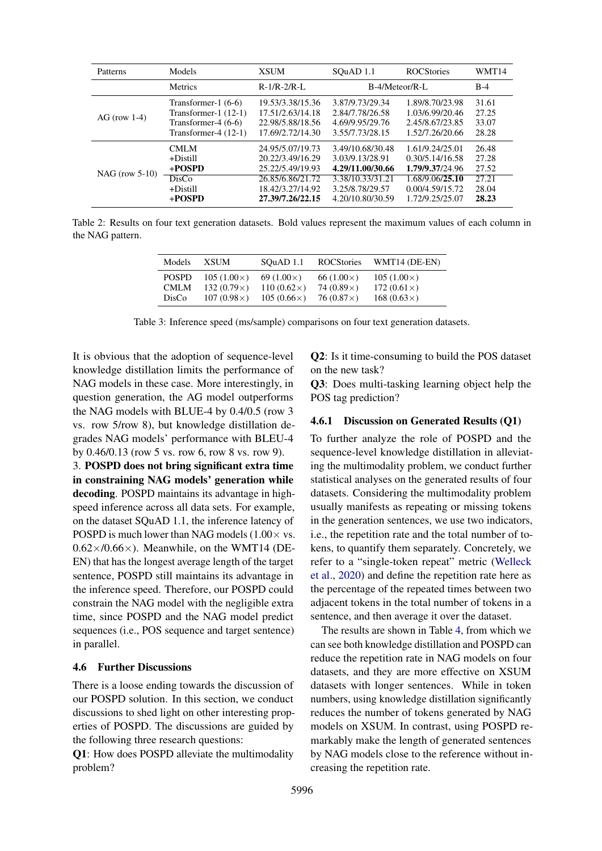<span id="page-6-0"></span>

| Patterns         | Models                                                                                             | <b>XSUM</b>                                                                  | SQuAD 1.1                                                                   | <b>ROCStories</b>                                                        | WMT14                            |
|------------------|----------------------------------------------------------------------------------------------------|------------------------------------------------------------------------------|-----------------------------------------------------------------------------|--------------------------------------------------------------------------|----------------------------------|
|                  | <b>Metrics</b>                                                                                     | $R-1/R-2/R-L$                                                                | B-4/Meteor/R-L                                                              |                                                                          | $B-4$                            |
| AG (row $1-4$ )  | Transformer-1 $(6-6)$<br>Transformer-1 $(12-1)$<br>Transformer-4 $(6-6)$<br>Transformer-4 $(12-1)$ | 19.53/3.38/15.36<br>17.51/2.63/14.18<br>22.98/5.88/18.56<br>17.69/2.72/14.30 | 3.87/9.73/29.34<br>2.84/7.78/26.58<br>4.69/9.95/29.76<br>3.55/7.73/28.15    | 1.89/8.70/23.98<br>1.03/6.99/20.46<br>2.45/8.67/23.85<br>1.52/7.26/20.66 | 31.61<br>27.25<br>33.07<br>28.28 |
| $NAG$ (row 5-10) | <b>CMLM</b><br>+Distill<br>$+$ POSPD<br>DisCo                                                      | 24.95/5.07/19.73<br>20.22/3.49/16.29<br>25.22/5.49/19.93<br>26.85/6.86/21.72 | 3.49/10.68/30.48<br>3.03/9.13/28.91<br>4.29/11.00/30.66<br>3.38/10.33/31.21 | 1.61/9.24/25.01<br>0.30/5.14/16.58<br>1.79/9.37/24.96<br>1.68/9.06/25.10 | 26.48<br>27.28<br>27.52<br>27.21 |
|                  | $+Distill$<br>+POSPD                                                                               | 18.42/3.27/14.92<br>27.39/7.26/22.15                                         | 3.25/8.78/29.57<br>4.20/10.80/30.59                                         | 0.00/4.59/15.72<br>1.72/9.25/25.07                                       | 28.04<br>28.23                   |

<span id="page-6-1"></span>Table 2: Results on four text generation datasets. Bold values represent the maximum values of each column in the NAG pattern.

| Models       | <b>XSUM</b>        | SOuAD 1.1         | <b>ROCStories</b> | WMT14 (DE-EN)       |
|--------------|--------------------|-------------------|-------------------|---------------------|
| <b>POSPD</b> | $105(1.00\times)$  | 69 $(1.00\times)$ | 66 $(1.00\times)$ | $105(1.00\times)$   |
| <b>CMLM</b>  | 132 $(0.79\times)$ | $110(0.62\times)$ | 74 $(0.89\times)$ | 172 $(0.61\times)$  |
| DisCo        | $107(0.98\times)$  | $105(0.66\times)$ | 76 $(0.87\times)$ | 168 $(0.63 \times)$ |

Table 3: Inference speed (ms/sample) comparisons on four text generation datasets.

It is obvious that the adoption of sequence-level knowledge distillation limits the performance of NAG models in these case. More interestingly, in question generation, the AG model outperforms the NAG models with BLUE-4 by 0.4/0.5 (row 3 vs. row 5/row 8), but knowledge distillation degrades NAG models' performance with BLEU-4 by 0.46/0.13 (row 5 vs. row 6, row 8 vs. row 9).

3. POSPD does not bring significant extra time in constraining NAG models' generation while decoding. POSPD maintains its advantage in highspeed inference across all data sets. For example, on the dataset SQuAD 1.1, the inference latency of POSPD is much lower than NAG models  $(1.00 \times \text{vs.})$  $0.62\times/0.66\times$ ). Meanwhile, on the WMT14 (DE-EN) that has the longest average length of the target sentence, POSPD still maintains its advantage in the inference speed. Therefore, our POSPD could constrain the NAG model with the negligible extra time, since POSPD and the NAG model predict sequences (i.e., POS sequence and target sentence) in parallel.

#### 4.6 Further Discussions

There is a loose ending towards the discussion of our POSPD solution. In this section, we conduct discussions to shed light on other interesting properties of POSPD. The discussions are guided by the following three research questions:

Q1: How does POSPD alleviate the multimodality problem?

Q2: Is it time-consuming to build the POS dataset on the new task?

Q3: Does multi-tasking learning object help the POS tag prediction?

### 4.6.1 Discussion on Generated Results (Q1)

To further analyze the role of POSPD and the sequence-level knowledge distillation in alleviating the multimodality problem, we conduct further statistical analyses on the generated results of four datasets. Considering the multimodality problem usually manifests as repeating or missing tokens in the generation sentences, we use two indicators, i.e., the repetition rate and the total number of tokens, to quantify them separately. Concretely, we refer to a "single-token repeat" metric [\(Welleck](#page-10-5) [et al.,](#page-10-5) [2020\)](#page-10-5) and define the repetition rate here as the percentage of the repeated times between two adjacent tokens in the total number of tokens in a sentence, and then average it over the dataset.

The results are shown in Table [4,](#page-7-0) from which we can see both knowledge distillation and POSPD can reduce the repetition rate in NAG models on four datasets, and they are more effective on XSUM datasets with longer sentences. While in token numbers, using knowledge distillation significantly reduces the number of tokens generated by NAG models on XSUM. In contrast, using POSPD remarkably make the length of generated sentences by NAG models close to the reference without increasing the repetition rate.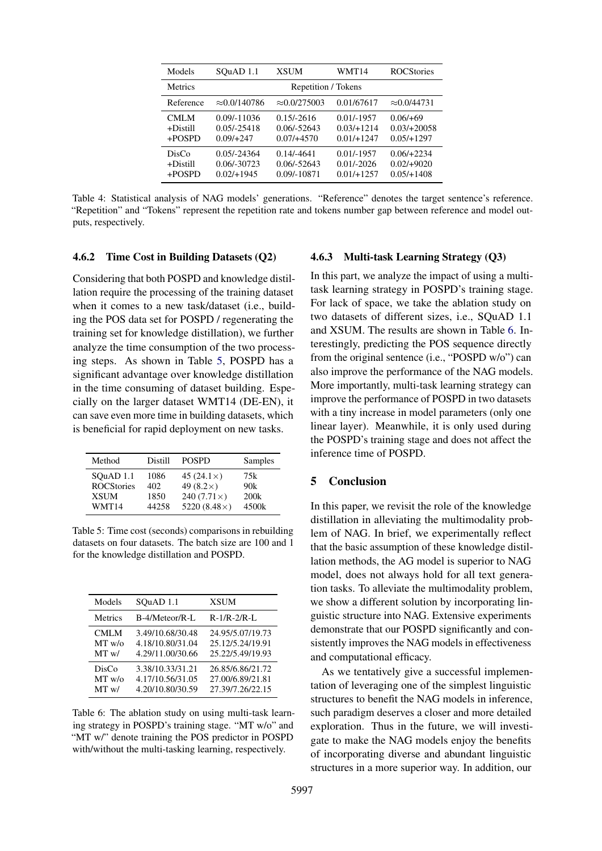<span id="page-7-0"></span>

| Models                               | SOuAD 1.1                                     | <b>XSUM</b>                                   | WMT14                                        | <b>ROCStories</b>                            |
|--------------------------------------|-----------------------------------------------|-----------------------------------------------|----------------------------------------------|----------------------------------------------|
| <b>Metrics</b>                       | Repetition / Tokens                           |                                               |                                              |                                              |
| Reference                            | $\approx 0.0/140786$                          | $\approx 0.0/275003$                          | 0.01/67617                                   | $\approx 0.0/44731$                          |
| <b>CMLM</b><br>$+$ Distill<br>+POSPD | $0.09/-11036$<br>$0.05/-25418$<br>$0.09/+247$ | $0.15/-2616$<br>$0.06/-52643$<br>$0.07/+4570$ | $0.01/-1957$<br>$0.03/+1214$<br>$0.01/+1247$ | $0.06/+69$<br>$0.03/+20058$<br>$0.05/+1297$  |
| DisCo<br>$+Distill$<br>$+$ POSPD     | $0.05/-24364$<br>0.06/-30723<br>$0.02/+1945$  | $0.14/-4641$<br>$0.06/-52643$<br>0.09/-10871  | $0.01/-1957$<br>$0.01/-2026$<br>$0.01/+1257$ | $0.06/+2234$<br>$0.02/+9020$<br>$0.05/+1408$ |

Table 4: Statistical analysis of NAG models' generations. "Reference" denotes the target sentence's reference. "Repetition" and "Tokens" represent the repetition rate and tokens number gap between reference and model outputs, respectively.

#### 4.6.2 Time Cost in Building Datasets (Q2)

Considering that both POSPD and knowledge distillation require the processing of the training dataset when it comes to a new task/dataset (i.e., building the POS data set for POSPD / regenerating the training set for knowledge distillation), we further analyze the time consumption of the two processing steps. As shown in Table [5,](#page-7-1) POSPD has a significant advantage over knowledge distillation in the time consuming of dataset building. Especially on the larger dataset WMT14 (DE-EN), it can save even more time in building datasets, which is beneficial for rapid deployment on new tasks.

<span id="page-7-1"></span>

| Method            | Distill | <b>POSPD</b>        | Samples |
|-------------------|---------|---------------------|---------|
| SOuAD 1.1         | 1086    | 45 $(24.1\times)$   | 75k     |
| <b>ROCStories</b> | 402     | 49 $(8.2\times)$    | 90k     |
| <b>XSUM</b>       | 1850    | 240 $(7.71\times)$  | 200k    |
| WMT14             | 44258   | 5220 $(8.48\times)$ | 4500k   |

Table 5: Time cost (seconds) comparisons in rebuilding datasets on four datasets. The batch size are 100 and 1 for the knowledge distillation and POSPD.

<span id="page-7-2"></span>

| Models         | SOuAD 1.1        | <b>XSUM</b>      |
|----------------|------------------|------------------|
| <b>Metrics</b> | B-4/Meteor/R-L   | $R-1/R-2/R-L$    |
| <b>CMLM</b>    | 3.49/10.68/30.48 | 24.95/5.07/19.73 |
| MT w/o         | 4.18/10.80/31.04 | 25.12/5.24/19.91 |
| MT w/          | 4.29/11.00/30.66 | 25.22/5.49/19.93 |
| DisCo          | 3.38/10.33/31.21 | 26.85/6.86/21.72 |
| MT w/o         | 4.17/10.56/31.05 | 27.00/6.89/21.81 |
| MT w/          | 4.20/10.80/30.59 | 27.39/7.26/22.15 |

Table 6: The ablation study on using multi-task learning strategy in POSPD's training stage. "MT w/o" and "MT w/" denote training the POS predictor in POSPD with/without the multi-tasking learning, respectively.

### 4.6.3 Multi-task Learning Strategy (Q3)

In this part, we analyze the impact of using a multitask learning strategy in POSPD's training stage. For lack of space, we take the ablation study on two datasets of different sizes, i.e., SQuAD 1.1 and XSUM. The results are shown in Table [6.](#page-7-2) Interestingly, predicting the POS sequence directly from the original sentence (i.e., "POSPD w/o") can also improve the performance of the NAG models. More importantly, multi-task learning strategy can improve the performance of POSPD in two datasets with a tiny increase in model parameters (only one linear layer). Meanwhile, it is only used during the POSPD's training stage and does not affect the inference time of POSPD.

# 5 Conclusion

In this paper, we revisit the role of the knowledge distillation in alleviating the multimodality problem of NAG. In brief, we experimentally reflect that the basic assumption of these knowledge distillation methods, the AG model is superior to NAG model, does not always hold for all text generation tasks. To alleviate the multimodality problem, we show a different solution by incorporating linguistic structure into NAG. Extensive experiments demonstrate that our POSPD significantly and consistently improves the NAG models in effectiveness and computational efficacy.

As we tentatively give a successful implementation of leveraging one of the simplest linguistic structures to benefit the NAG models in inference, such paradigm deserves a closer and more detailed exploration. Thus in the future, we will investigate to make the NAG models enjoy the benefits of incorporating diverse and abundant linguistic structures in a more superior way. In addition, our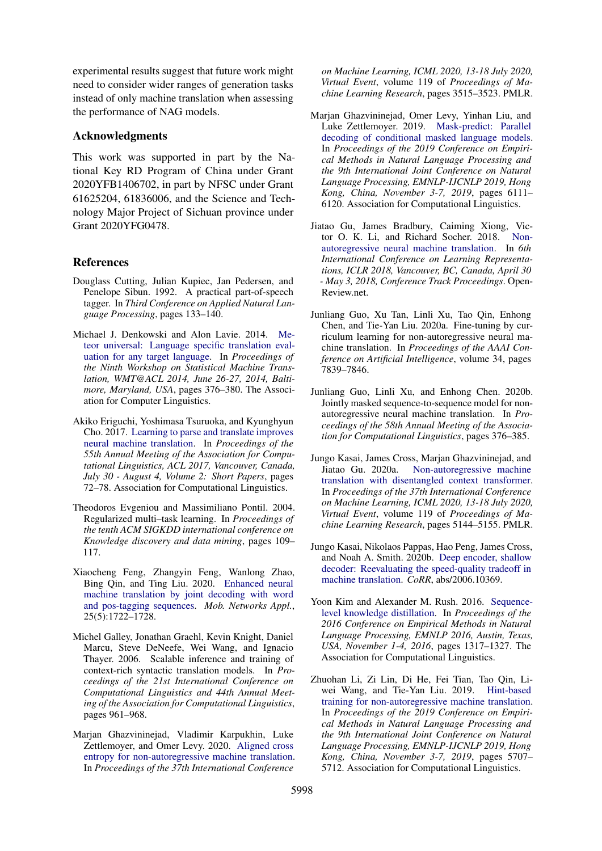experimental results suggest that future work might need to consider wider ranges of generation tasks instead of only machine translation when assessing the performance of NAG models.

# Acknowledgments

This work was supported in part by the National Key RD Program of China under Grant 2020YFB1406702, in part by NFSC under Grant 61625204, 61836006, and the Science and Technology Major Project of Sichuan province under Grant 2020YFG0478.

# **References**

- <span id="page-8-2"></span>Douglass Cutting, Julian Kupiec, Jan Pedersen, and Penelope Sibun. 1992. A practical part-of-speech tagger. In *Third Conference on Applied Natural Language Processing*, pages 133–140.
- <span id="page-8-13"></span>Michael J. Denkowski and Alon Lavie. 2014. [Me](https://doi.org/10.3115/v1/w14-3348)[teor universal: Language specific translation eval](https://doi.org/10.3115/v1/w14-3348)[uation for any target language.](https://doi.org/10.3115/v1/w14-3348) In *Proceedings of the Ninth Workshop on Statistical Machine Translation, WMT@ACL 2014, June 26-27, 2014, Baltimore, Maryland, USA*, pages 376–380. The Association for Computer Linguistics.
- <span id="page-8-10"></span>Akiko Eriguchi, Yoshimasa Tsuruoka, and Kyunghyun Cho. 2017. [Learning to parse and translate improves](https://doi.org/10.18653/v1/P17-2012) [neural machine translation.](https://doi.org/10.18653/v1/P17-2012) In *Proceedings of the 55th Annual Meeting of the Association for Computational Linguistics, ACL 2017, Vancouver, Canada, July 30 - August 4, Volume 2: Short Papers*, pages 72–78. Association for Computational Linguistics.
- <span id="page-8-12"></span>Theodoros Evgeniou and Massimiliano Pontil. 2004. Regularized multi–task learning. In *Proceedings of the tenth ACM SIGKDD international conference on Knowledge discovery and data mining*, pages 109– 117.
- <span id="page-8-11"></span>Xiaocheng Feng, Zhangyin Feng, Wanlong Zhao, Bing Qin, and Ting Liu. 2020. [Enhanced neural](https://doi.org/10.1007/s11036-020-01582-8) [machine translation by joint decoding with word](https://doi.org/10.1007/s11036-020-01582-8) [and pos-tagging sequences.](https://doi.org/10.1007/s11036-020-01582-8) *Mob. Networks Appl.*, 25(5):1722–1728.
- <span id="page-8-9"></span>Michel Galley, Jonathan Graehl, Kevin Knight, Daniel Marcu, Steve DeNeefe, Wei Wang, and Ignacio Thayer. 2006. Scalable inference and training of context-rich syntactic translation models. In *Proceedings of the 21st International Conference on Computational Linguistics and 44th Annual Meeting of the Association for Computational Linguistics*, pages 961–968.
- <span id="page-8-8"></span>Marjan Ghazvininejad, Vladimir Karpukhin, Luke Zettlemoyer, and Omer Levy. 2020. [Aligned cross](http://proceedings.mlr.press/v119/ghazvininejad20a.html) [entropy for non-autoregressive machine translation.](http://proceedings.mlr.press/v119/ghazvininejad20a.html) In *Proceedings of the 37th International Conference*

*on Machine Learning, ICML 2020, 13-18 July 2020, Virtual Event*, volume 119 of *Proceedings of Machine Learning Research*, pages 3515–3523. PMLR.

- <span id="page-8-5"></span>Marjan Ghazvininejad, Omer Levy, Yinhan Liu, and Luke Zettlemoyer. 2019. [Mask-predict: Parallel](https://doi.org/10.18653/v1/D19-1633) [decoding of conditional masked language models.](https://doi.org/10.18653/v1/D19-1633) In *Proceedings of the 2019 Conference on Empirical Methods in Natural Language Processing and the 9th International Joint Conference on Natural Language Processing, EMNLP-IJCNLP 2019, Hong Kong, China, November 3-7, 2019*, pages 6111– 6120. Association for Computational Linguistics.
- <span id="page-8-0"></span>Jiatao Gu, James Bradbury, Caiming Xiong, Victor O. K. Li, and Richard Socher. 2018. [Non](https://openreview.net/forum?id=B1l8BtlCb)[autoregressive neural machine translation.](https://openreview.net/forum?id=B1l8BtlCb) In *6th International Conference on Learning Representations, ICLR 2018, Vancouver, BC, Canada, April 30 - May 3, 2018, Conference Track Proceedings*. Open-Review.net.
- <span id="page-8-4"></span>Junliang Guo, Xu Tan, Linli Xu, Tao Qin, Enhong Chen, and Tie-Yan Liu. 2020a. Fine-tuning by curriculum learning for non-autoregressive neural machine translation. In *Proceedings of the AAAI Conference on Artificial Intelligence*, volume 34, pages 7839–7846.
- <span id="page-8-7"></span>Junliang Guo, Linli Xu, and Enhong Chen. 2020b. Jointly masked sequence-to-sequence model for nonautoregressive neural machine translation. In *Proceedings of the 58th Annual Meeting of the Association for Computational Linguistics*, pages 376–385.
- <span id="page-8-6"></span>Jungo Kasai, James Cross, Marjan Ghazvininejad, and Jiatao Gu. 2020a. [Non-autoregressive machine](http://proceedings.mlr.press/v119/kasai20a.html) [translation with disentangled context transformer.](http://proceedings.mlr.press/v119/kasai20a.html) In *Proceedings of the 37th International Conference on Machine Learning, ICML 2020, 13-18 July 2020, Virtual Event*, volume 119 of *Proceedings of Machine Learning Research*, pages 5144–5155. PMLR.
- <span id="page-8-14"></span>Jungo Kasai, Nikolaos Pappas, Hao Peng, James Cross, and Noah A. Smith. 2020b. [Deep encoder, shallow](http://arxiv.org/abs/2006.10369) [decoder: Reevaluating the speed-quality tradeoff in](http://arxiv.org/abs/2006.10369) [machine translation.](http://arxiv.org/abs/2006.10369) *CoRR*, abs/2006.10369.
- <span id="page-8-1"></span>Yoon Kim and Alexander M. Rush. 2016. [Sequence](https://doi.org/10.18653/v1/d16-1139)[level knowledge distillation.](https://doi.org/10.18653/v1/d16-1139) In *Proceedings of the 2016 Conference on Empirical Methods in Natural Language Processing, EMNLP 2016, Austin, Texas, USA, November 1-4, 2016*, pages 1317–1327. The Association for Computational Linguistics.
- <span id="page-8-3"></span>Zhuohan Li, Zi Lin, Di He, Fei Tian, Tao Qin, Liwei Wang, and Tie-Yan Liu. 2019. [Hint-based](https://doi.org/10.18653/v1/D19-1573) [training for non-autoregressive machine translation.](https://doi.org/10.18653/v1/D19-1573) In *Proceedings of the 2019 Conference on Empirical Methods in Natural Language Processing and the 9th International Joint Conference on Natural Language Processing, EMNLP-IJCNLP 2019, Hong Kong, China, November 3-7, 2019*, pages 5707– 5712. Association for Computational Linguistics.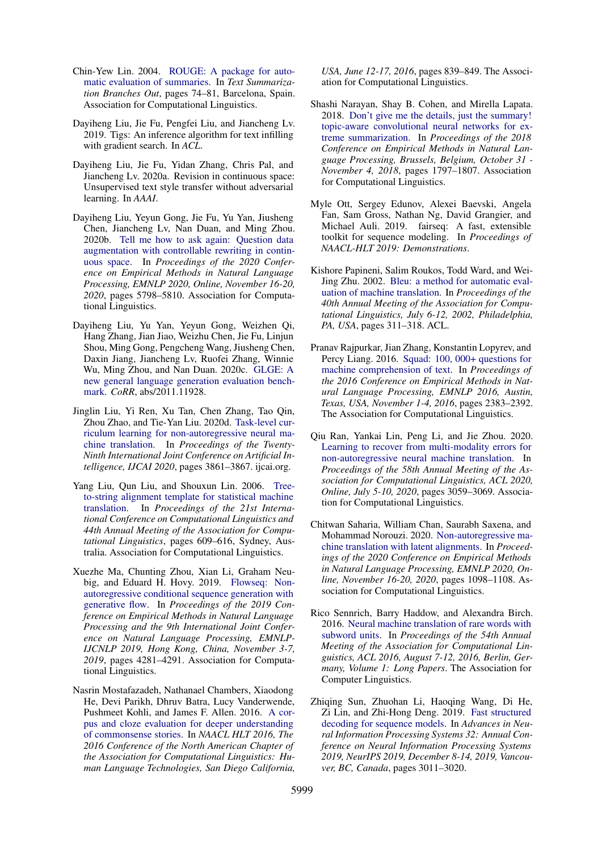- <span id="page-9-14"></span>Chin-Yew Lin. 2004. [ROUGE: A package for auto](https://www.aclweb.org/anthology/W04-1013)[matic evaluation of summaries.](https://www.aclweb.org/anthology/W04-1013) In *Text Summarization Branches Out*, pages 74–81, Barcelona, Spain. Association for Computational Linguistics.
- <span id="page-9-6"></span>Dayiheng Liu, Jie Fu, Pengfei Liu, and Jiancheng Lv. 2019. Tigs: An inference algorithm for text infilling with gradient search. In *ACL*.
- <span id="page-9-5"></span>Dayiheng Liu, Jie Fu, Yidan Zhang, Chris Pal, and Jiancheng Lv. 2020a. Revision in continuous space: Unsupervised text style transfer without adversarial learning. In *AAAI*.
- <span id="page-9-12"></span>Dayiheng Liu, Yeyun Gong, Jie Fu, Yu Yan, Jiusheng Chen, Jiancheng Lv, Nan Duan, and Ming Zhou. 2020b. [Tell me how to ask again: Question data](https://doi.org/10.18653/v1/2020.emnlp-main.467) [augmentation with controllable rewriting in contin](https://doi.org/10.18653/v1/2020.emnlp-main.467)[uous space.](https://doi.org/10.18653/v1/2020.emnlp-main.467) In *Proceedings of the 2020 Conference on Empirical Methods in Natural Language Processing, EMNLP 2020, Online, November 16-20, 2020*, pages 5798–5810. Association for Computational Linguistics.
- <span id="page-9-13"></span>Dayiheng Liu, Yu Yan, Yeyun Gong, Weizhen Qi, Hang Zhang, Jian Jiao, Weizhu Chen, Jie Fu, Linjun Shou, Ming Gong, Pengcheng Wang, Jiusheng Chen, Daxin Jiang, Jiancheng Lv, Ruofei Zhang, Winnie Wu, Ming Zhou, and Nan Duan. 2020c. [GLGE: A](http://arxiv.org/abs/2011.11928) [new general language generation evaluation bench](http://arxiv.org/abs/2011.11928)[mark.](http://arxiv.org/abs/2011.11928) *CoRR*, abs/2011.11928.
- <span id="page-9-2"></span>Jinglin Liu, Yi Ren, Xu Tan, Chen Zhang, Tao Qin, Zhou Zhao, and Tie-Yan Liu. 2020d. [Task-level cur](https://doi.org/10.24963/ijcai.2020/534)[riculum learning for non-autoregressive neural ma](https://doi.org/10.24963/ijcai.2020/534)[chine translation.](https://doi.org/10.24963/ijcai.2020/534) In *Proceedings of the Twenty-Ninth International Joint Conference on Artificial Intelligence, IJCAI 2020*, pages 3861–3867. ijcai.org.
- <span id="page-9-7"></span>Yang Liu, Qun Liu, and Shouxun Lin. 2006. [Tree](https://doi.org/10.3115/1220175.1220252)[to-string alignment template for statistical machine](https://doi.org/10.3115/1220175.1220252) [translation.](https://doi.org/10.3115/1220175.1220252) In *Proceedings of the 21st International Conference on Computational Linguistics and 44th Annual Meeting of the Association for Computational Linguistics*, pages 609–616, Sydney, Australia. Association for Computational Linguistics.
- <span id="page-9-0"></span>Xuezhe Ma, Chunting Zhou, Xian Li, Graham Neubig, and Eduard H. Hovy. 2019. [Flowseq: Non](https://doi.org/10.18653/v1/D19-1437)[autoregressive conditional sequence generation with](https://doi.org/10.18653/v1/D19-1437) [generative flow.](https://doi.org/10.18653/v1/D19-1437) In *Proceedings of the 2019 Conference on Empirical Methods in Natural Language Processing and the 9th International Joint Conference on Natural Language Processing, EMNLP-IJCNLP 2019, Hong Kong, China, November 3-7, 2019*, pages 4281–4291. Association for Computational Linguistics.
- <span id="page-9-10"></span>Nasrin Mostafazadeh, Nathanael Chambers, Xiaodong He, Devi Parikh, Dhruv Batra, Lucy Vanderwende, Pushmeet Kohli, and James F. Allen. 2016. [A cor](https://doi.org/10.18653/v1/n16-1098)[pus and cloze evaluation for deeper understanding](https://doi.org/10.18653/v1/n16-1098) [of commonsense stories.](https://doi.org/10.18653/v1/n16-1098) In *NAACL HLT 2016, The 2016 Conference of the North American Chapter of the Association for Computational Linguistics: Human Language Technologies, San Diego California,*

*USA, June 12-17, 2016*, pages 839–849. The Association for Computational Linguistics.

- <span id="page-9-9"></span>Shashi Narayan, Shay B. Cohen, and Mirella Lapata. 2018. [Don't give me the details, just the summary!](https://doi.org/10.18653/v1/d18-1206) [topic-aware convolutional neural networks for ex](https://doi.org/10.18653/v1/d18-1206)[treme summarization.](https://doi.org/10.18653/v1/d18-1206) In *Proceedings of the 2018 Conference on Empirical Methods in Natural Language Processing, Brussels, Belgium, October 31 - November 4, 2018*, pages 1797–1807. Association for Computational Linguistics.
- <span id="page-9-16"></span>Myle Ott, Sergey Edunov, Alexei Baevski, Angela Fan, Sam Gross, Nathan Ng, David Grangier, and Michael Auli. 2019. fairseq: A fast, extensible toolkit for sequence modeling. In *Proceedings of NAACL-HLT 2019: Demonstrations*.
- <span id="page-9-15"></span>Kishore Papineni, Salim Roukos, Todd Ward, and Wei-Jing Zhu. 2002. [Bleu: a method for automatic eval](https://doi.org/10.3115/1073083.1073135)[uation of machine translation.](https://doi.org/10.3115/1073083.1073135) In *Proceedings of the 40th Annual Meeting of the Association for Computational Linguistics, July 6-12, 2002, Philadelphia, PA, USA*, pages 311–318. ACL.
- <span id="page-9-11"></span>Pranav Rajpurkar, Jian Zhang, Konstantin Lopyrev, and Percy Liang. 2016. [Squad: 100, 000+ questions for](https://doi.org/10.18653/v1/d16-1264) [machine comprehension of text.](https://doi.org/10.18653/v1/d16-1264) In *Proceedings of the 2016 Conference on Empirical Methods in Natural Language Processing, EMNLP 2016, Austin, Texas, USA, November 1-4, 2016*, pages 2383–2392. The Association for Computational Linguistics.
- <span id="page-9-1"></span>Qiu Ran, Yankai Lin, Peng Li, and Jie Zhou. 2020. [Learning to recover from multi-modality errors for](https://www.aclweb.org/anthology/2020.acl-main.277/) [non-autoregressive neural machine translation.](https://www.aclweb.org/anthology/2020.acl-main.277/) In *Proceedings of the 58th Annual Meeting of the Association for Computational Linguistics, ACL 2020, Online, July 5-10, 2020*, pages 3059–3069. Association for Computational Linguistics.
- <span id="page-9-4"></span>Chitwan Saharia, William Chan, Saurabh Saxena, and Mohammad Norouzi. 2020. [Non-autoregressive ma](https://www.aclweb.org/anthology/2020.emnlp-main.83/)[chine translation with latent alignments.](https://www.aclweb.org/anthology/2020.emnlp-main.83/) In *Proceedings of the 2020 Conference on Empirical Methods in Natural Language Processing, EMNLP 2020, Online, November 16-20, 2020*, pages 1098–1108. Association for Computational Linguistics.
- <span id="page-9-8"></span>Rico Sennrich, Barry Haddow, and Alexandra Birch. 2016. [Neural machine translation of rare words with](https://doi.org/10.18653/v1/p16-1162) [subword units.](https://doi.org/10.18653/v1/p16-1162) In *Proceedings of the 54th Annual Meeting of the Association for Computational Linguistics, ACL 2016, August 7-12, 2016, Berlin, Germany, Volume 1: Long Papers*. The Association for Computer Linguistics.
- <span id="page-9-3"></span>Zhiqing Sun, Zhuohan Li, Haoqing Wang, Di He, Zi Lin, and Zhi-Hong Deng. 2019. [Fast structured](http://papers.nips.cc/paper/8566-fast-structured-decoding-for-sequence-models) [decoding for sequence models.](http://papers.nips.cc/paper/8566-fast-structured-decoding-for-sequence-models) In *Advances in Neural Information Processing Systems 32: Annual Conference on Neural Information Processing Systems 2019, NeurIPS 2019, December 8-14, 2019, Vancouver, BC, Canada*, pages 3011–3020.